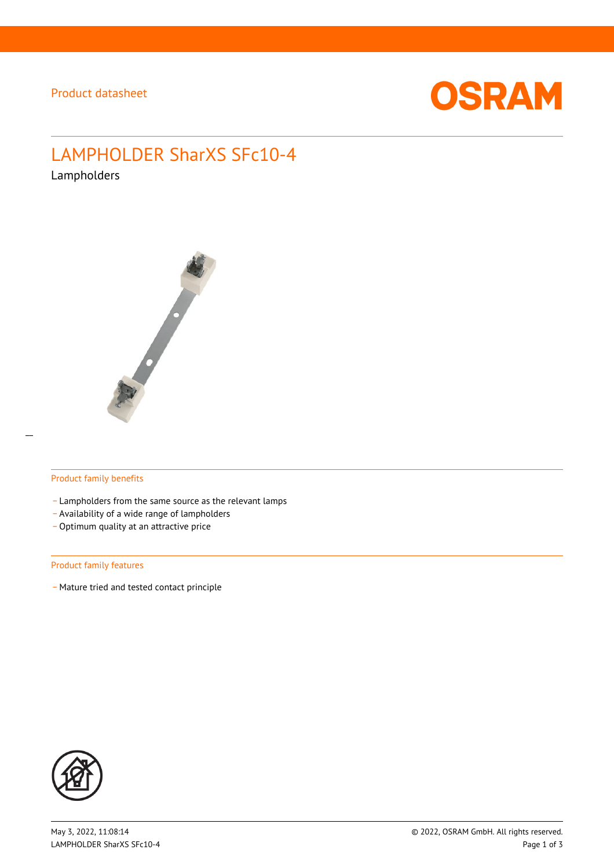

# LAMPHOLDER SharXS SFc10-4

Lampholders



#### Product family benefits

- Lampholders from the same source as the relevant lamps
- \_ Availability of a wide range of lampholders
- Optimum quality at an attractive price

#### Product family features

- Mature tried and tested contact principle

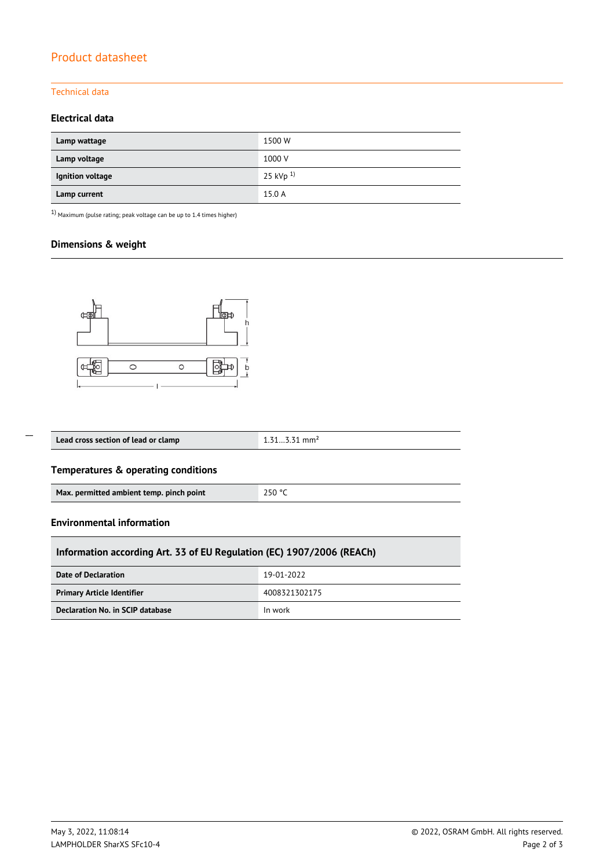# Product datasheet

## Technical data

## **Electrical data**

| Lamp wattage     | 1500 W         |
|------------------|----------------|
| Lamp voltage     | 1000 V         |
| Ignition voltage | 25 kVp $^{1)}$ |
| Lamp current     | 15.0 A         |

 $1)$  Maximum (pulse rating; peak voltage can be up to 1.4 times higher)

## **Dimensions & weight**



| Lead cross section of lead or clamp | 4 7 4<br>mm <sup>2</sup> |
|-------------------------------------|--------------------------|
|                                     |                          |

## **Temperatures & operating conditions**

| 250 °C<br>Max. permitted ambient temp. pinch point |  |
|----------------------------------------------------|--|
|----------------------------------------------------|--|

#### **Environmental information**

 $\overline{a}$ 

| Information according Art. 33 of EU Regulation (EC) 1907/2006 (REACh) |               |  |  |  |
|-----------------------------------------------------------------------|---------------|--|--|--|
| Date of Declaration                                                   | 19-01-2022    |  |  |  |
| <b>Primary Article Identifier</b>                                     | 4008321302175 |  |  |  |
| Declaration No. in SCIP database                                      | In work       |  |  |  |